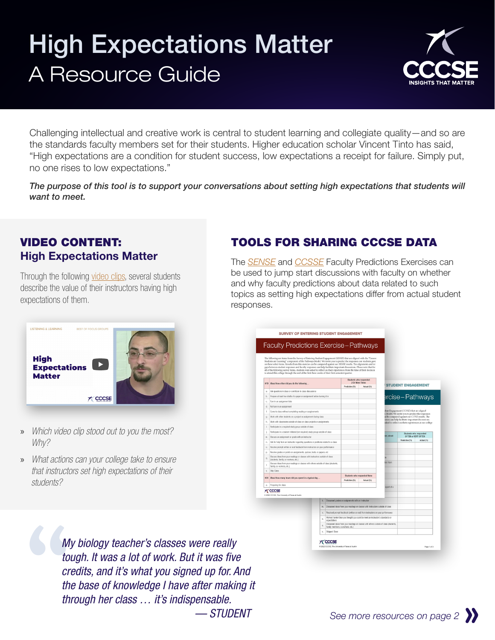## High Expectations Matter A Resource Guide



Challenging intellectual and creative work is central to student learning and collegiate quality—and so are the standards faculty members set for their students. Higher education scholar Vincent Tinto has said, "High expectations are a condition for student success, low expectations a receipt for failure. Simply put, no one rises to low expectations."

*The purpose of this tool is to support your conversations about setting high expectations that students will want to meet.*

## VIDEO CONTENT: High Expectations Matter

Through the following [video clips](https://www.youtube.com/watch?v=nPCgZygEcE8), several students describe the value of their instructors having high expectations of them.



- » *Which video clip stood out to you the most? Why?*
- » *What actions can your college take to ensure that instructors set high expectations of their students?*



The *[SENSE](https://www.ccsse.org/sense/tools/docs/working_with_results/Faculty_Predictions_Exercise.pdf)* and *[CCSSE](https://www.ccsse.org/tools/docs/working_with_results/Faculty_Predictions_Exercise.pdf)* Faculty Predictions Exercises can be used to jump start discussions with faculty on whether and why faculty predictions about data related to such topics as setting high expectations differ from actual student responses.



M<sub>to</sub><br>
to<br>
cr<br>
th<br>
th<br>
th *My biology teacher's classes were really tough. It was a lot of work. But it was five credits, and it's what you signed up for. And the base of knowledge I have after making it through her class … it's indispensable. — STUDENT*